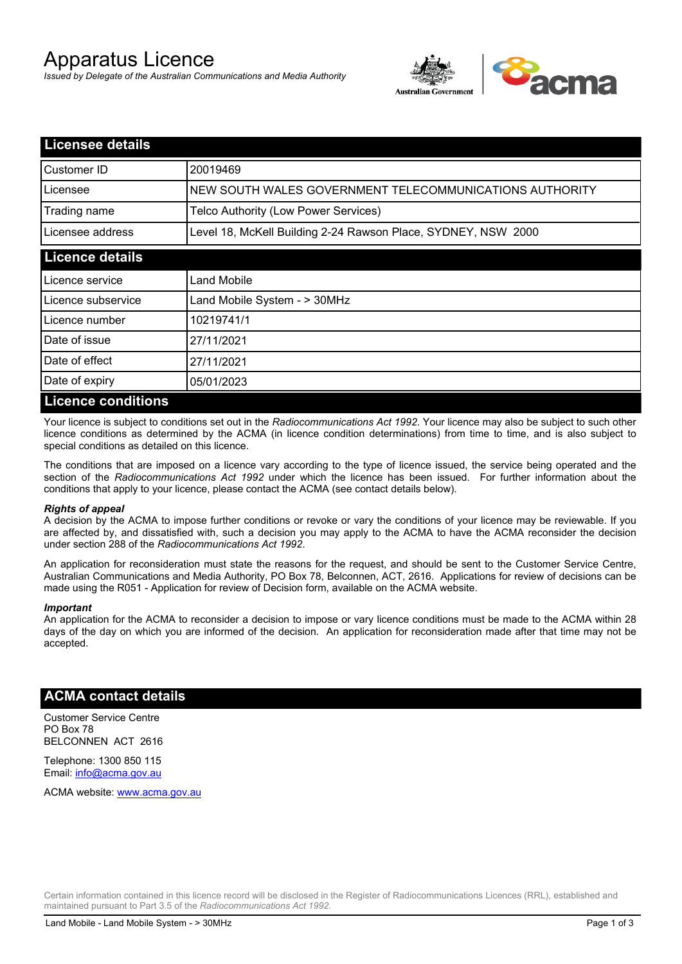# Apparatus Licence

*Issued by Delegate of the Australian Communications and Media Authority*



| <b>Licensee details</b>   |                                                               |
|---------------------------|---------------------------------------------------------------|
| Customer ID               | 20019469                                                      |
| Licensee                  | NEW SOUTH WALES GOVERNMENT TELECOMMUNICATIONS AUTHORITY       |
| Trading name              | Telco Authority (Low Power Services)                          |
| Licensee address          | Level 18, McKell Building 2-24 Rawson Place, SYDNEY, NSW 2000 |
| <b>Licence details</b>    |                                                               |
| l Licence service         | Land Mobile                                                   |
| Licence subservice        | Land Mobile System - > 30MHz                                  |
| Licence number            | 10219741/1                                                    |
| Date of issue             | 27/11/2021                                                    |
| Date of effect            | 27/11/2021                                                    |
| Date of expiry            | 05/01/2023                                                    |
| <b>Licence conditions</b> |                                                               |

Your licence is subject to conditions set out in the *Radiocommunications Act 1992*. Your licence may also be subject to such other licence conditions as determined by the ACMA (in licence condition determinations) from time to time, and is also subject to special conditions as detailed on this licence.

The conditions that are imposed on a licence vary according to the type of licence issued, the service being operated and the section of the *Radiocommunications Act 1992* under which the licence has been issued. For further information about the conditions that apply to your licence, please contact the ACMA (see contact details below).

#### *Rights of appeal*

A decision by the ACMA to impose further conditions or revoke or vary the conditions of your licence may be reviewable. If you are affected by, and dissatisfied with, such a decision you may apply to the ACMA to have the ACMA reconsider the decision under section 288 of the *Radiocommunications Act 1992*.

An application for reconsideration must state the reasons for the request, and should be sent to the Customer Service Centre, Australian Communications and Media Authority, PO Box 78, Belconnen, ACT, 2616. Applications for review of decisions can be made using the R051 - Application for review of Decision form, available on the ACMA website.

#### *Important*

An application for the ACMA to reconsider a decision to impose or vary licence conditions must be made to the ACMA within 28 days of the day on which you are informed of the decision. An application for reconsideration made after that time may not be accepted.

#### **ACMA contact details**

Customer Service Centre PO Box 78 BELCONNEN ACT 2616

Telephone: 1300 850 115 Email: info@acma.gov.au

ACMA website: www.acma.gov.au

Certain information contained in this licence record will be disclosed in the Register of Radiocommunications Licences (RRL), established and maintained pursuant to Part 3.5 of the *Radiocommunications Act 1992.*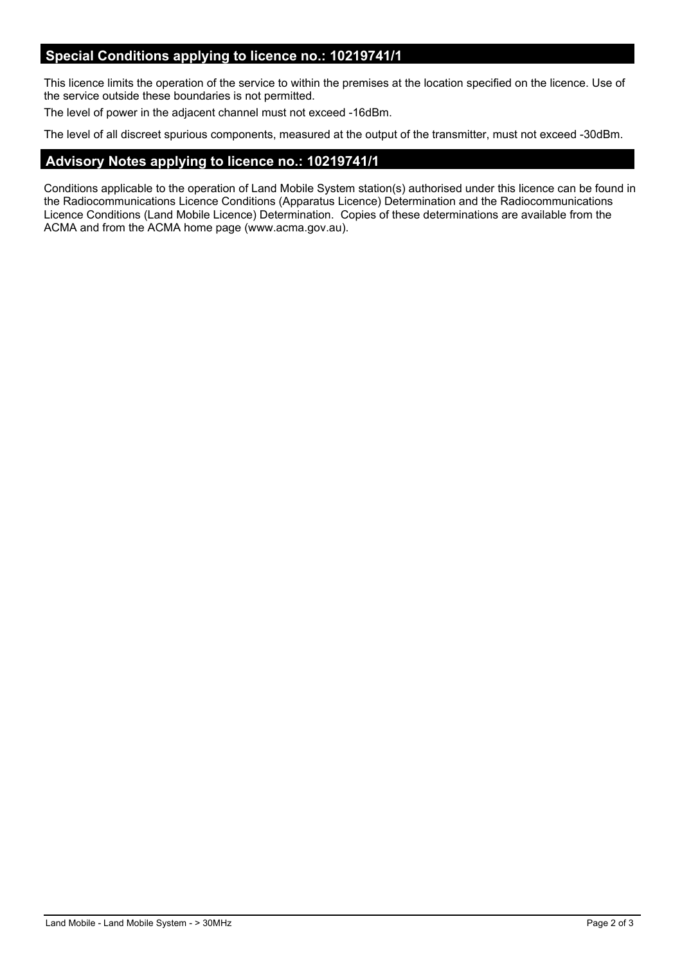## **Special Conditions applying to licence no.: 10219741/1**

This licence limits the operation of the service to within the premises at the location specified on the licence. Use of the service outside these boundaries is not permitted.

The level of power in the adjacent channel must not exceed -16dBm.

The level of all discreet spurious components, measured at the output of the transmitter, must not exceed -30dBm.

## **Advisory Notes applying to licence no.: 10219741/1**

Conditions applicable to the operation of Land Mobile System station(s) authorised under this licence can be found in the Radiocommunications Licence Conditions (Apparatus Licence) Determination and the Radiocommunications Licence Conditions (Land Mobile Licence) Determination. Copies of these determinations are available from the ACMA and from the ACMA home page (www.acma.gov.au).